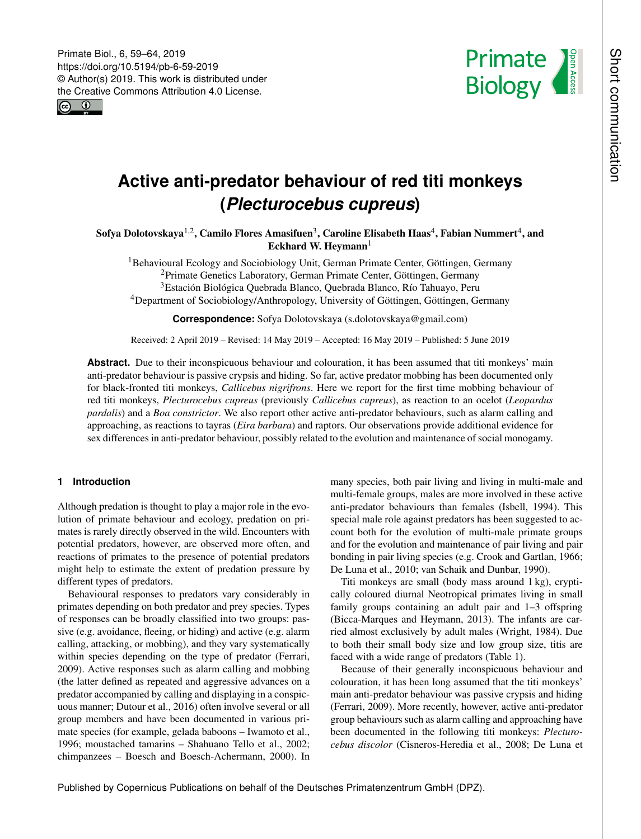<span id="page-0-1"></span>



# **Active anti-predator behaviour of red titi monkeys (***Plecturocebus cupreus***)**

Sofya Dolotovskaya $^{1,2}$  $^{1,2}$  $^{1,2}$ , Camilo Flores Amasifuen $^3$  $^3$ , Caroline Elisabeth Haas $^4$  $^4$ , Fabian Nummert $^4$ , and Eckhard W. Heymann $<sup>1</sup>$  $<sup>1</sup>$  $<sup>1</sup>$ </sup>

<sup>1</sup>Behavioural Ecology and Sociobiology Unit, German Primate Center, Göttingen, Germany Primate Genetics Laboratory, German Primate Center, Göttingen, Germany Estación Biológica Quebrada Blanco, Quebrada Blanco, Río Tahuayo, Peru Department of Sociobiology/Anthropology, University of Göttingen, Göttingen, Germany

**Correspondence:** Sofya Dolotovskaya (s.dolotovskaya@gmail.com)

Received: 2 April 2019 – Revised: 14 May 2019 – Accepted: 16 May 2019 – Published: 5 June 2019

Abstract. Due to their inconspicuous behaviour and colouration, it has been assumed that titi monkeys' main anti-predator behaviour is passive crypsis and hiding. So far, active predator mobbing has been documented only for black-fronted titi monkeys, *Callicebus nigrifrons*. Here we report for the first time mobbing behaviour of red titi monkeys, *Plecturocebus cupreus* (previously *Callicebus cupreus*), as reaction to an ocelot (*Leopardus pardalis*) and a *Boa constrictor*. We also report other active anti-predator behaviours, such as alarm calling and approaching, as reactions to tayras (*Eira barbara*) and raptors. Our observations provide additional evidence for sex differences in anti-predator behaviour, possibly related to the evolution and maintenance of social monogamy.

# <span id="page-0-0"></span>**1 Introduction**

Although predation is thought to play a major role in the evolution of primate behaviour and ecology, predation on primates is rarely directly observed in the wild. Encounters with potential predators, however, are observed more often, and reactions of primates to the presence of potential predators might help to estimate the extent of predation pressure by different types of predators.

Behavioural responses to predators vary considerably in primates depending on both predator and prey species. Types of responses can be broadly classified into two groups: passive (e.g. avoidance, fleeing, or hiding) and active (e.g. alarm calling, attacking, or mobbing), and they vary systematically within species depending on the type of predator (Ferrari, 2009). Active responses such as alarm calling and mobbing (the latter defined as repeated and aggressive advances on a predator accompanied by calling and displaying in a conspicuous manner; Dutour et al., 2016) often involve several or all group members and have been documented in various primate species (for example, gelada baboons – Iwamoto et al., 1996; moustached tamarins – Shahuano Tello et al., 2002; chimpanzees – Boesch and Boesch-Achermann, 2000). In many species, both pair living and living in multi-male and multi-female groups, males are more involved in these active anti-predator behaviours than females (Isbell, 1994). This special male role against predators has been suggested to account both for the evolution of multi-male primate groups and for the evolution and maintenance of pair living and pair bonding in pair living species (e.g. Crook and Gartlan, 1966; De Luna et al., 2010; van Schaik and Dunbar, 1990).

Titi monkeys are small (body mass around 1 kg), cryptically coloured diurnal Neotropical primates living in small family groups containing an adult pair and 1–3 offspring (Bicca-Marques and Heymann, 2013). The infants are carried almost exclusively by adult males (Wright, 1984). Due to both their small body size and low group size, titis are faced with a wide range of predators (Table 1).

Because of their generally inconspicuous behaviour and colouration, it has been long assumed that the titi monkeys' main anti-predator behaviour was passive crypsis and hiding (Ferrari, 2009). More recently, however, active anti-predator group behaviours such as alarm calling and approaching have been documented in the following titi monkeys: *Plecturocebus discolor* (Cisneros-Heredia et al., 2008; De Luna et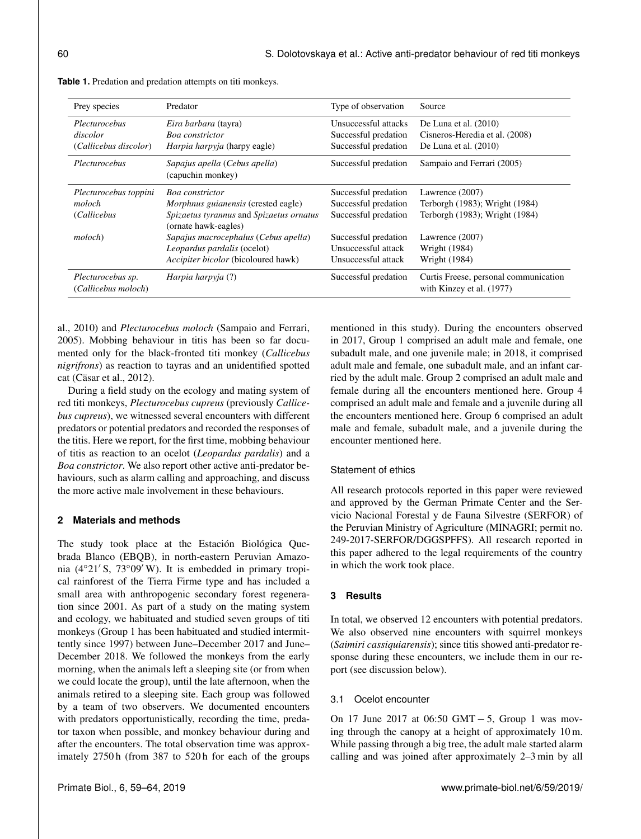| Prey species                                       | Predator                                                                                                                          | Type of observation                                                  | Source                                                                               |
|----------------------------------------------------|-----------------------------------------------------------------------------------------------------------------------------------|----------------------------------------------------------------------|--------------------------------------------------------------------------------------|
| Plecturocebus<br>discolor<br>(Callicebus discolor) | Eira barbara (tayra)<br>Boa constrictor<br><i>Harpia harpyja</i> (harpy eagle)                                                    | Unsuccessful attacks<br>Successful predation<br>Successful predation | De Luna et al. $(2010)$<br>Cisneros-Heredia et al. (2008)<br>De Luna et al. $(2010)$ |
| Plecturocebus                                      | Sapajus apella (Cebus apella)<br>(capuchin monkey)                                                                                | Successful predation                                                 | Sampaio and Ferrari (2005)                                                           |
| Plecturocebus toppini<br>moloch<br>(Callicebus     | Boa constrictor<br><i>Morphnus guianensis</i> (crested eagle)<br>Spizaetus tyrannus and Spizaetus ornatus<br>(ornate hawk-eagles) | Successful predation<br>Successful predation<br>Successful predation | Lawrence (2007)<br>Terborgh (1983); Wright (1984)<br>Terborgh (1983); Wright (1984)  |
| <i>moloch</i> )                                    | Sapajus macrocephalus (Cebus apella)<br>Leopardus pardalis (ocelot)<br>Accipiter bicolor (bicoloured hawk)                        | Successful predation<br>Unsuccessful attack<br>Unsuccessful attack   | Lawrence (2007)<br>Wright (1984)<br>Wright (1984)                                    |
| Plecturocebus sp.<br>(Callicebus moloch)           | Harpia harpyja (?)                                                                                                                | Successful predation                                                 | Curtis Freese, personal communication<br>with Kinzey et al. (1977)                   |

**Table 1.** Predation and predation attempts on titi monkeys.

al., 2010) and *Plecturocebus moloch* (Sampaio and Ferrari, 2005). Mobbing behaviour in titis has been so far documented only for the black-fronted titi monkey (*Callicebus nigrifrons*) as reaction to tayras and an unidentified spotted cat (Cäsar et al., 2012).

During a field study on the ecology and mating system of red titi monkeys, *Plecturocebus cupreus* (previously *Callicebus cupreus*), we witnessed several encounters with different predators or potential predators and recorded the responses of the titis. Here we report, for the first time, mobbing behaviour of titis as reaction to an ocelot (*Leopardus pardalis*) and a *Boa constrictor*. We also report other active anti-predator behaviours, such as alarm calling and approaching, and discuss the more active male involvement in these behaviours.

# **2 Materials and methods**

The study took place at the Estación Biológica Quebrada Blanco (EBQB), in north-eastern Peruvian Amazonia (4 $\degree$ 21' S, 73 $\degree$ 09' W). It is embedded in primary tropical rainforest of the Tierra Firme type and has included a small area with anthropogenic secondary forest regeneration since 2001. As part of a study on the mating system and ecology, we habituated and studied seven groups of titi monkeys (Group 1 has been habituated and studied intermittently since 1997) between June–December 2017 and June– December 2018. We followed the monkeys from the early morning, when the animals left a sleeping site (or from when we could locate the group), until the late afternoon, when the animals retired to a sleeping site. Each group was followed by a team of two observers. We documented encounters with predators opportunistically, recording the time, predator taxon when possible, and monkey behaviour during and after the encounters. The total observation time was approximately 2750 h (from 387 to 520 h for each of the groups mentioned in this study). During the encounters observed in 2017, Group 1 comprised an adult male and female, one subadult male, and one juvenile male; in 2018, it comprised adult male and female, one subadult male, and an infant carried by the adult male. Group 2 comprised an adult male and female during all the encounters mentioned here. Group 4 comprised an adult male and female and a juvenile during all the encounters mentioned here. Group 6 comprised an adult male and female, subadult male, and a juvenile during the encounter mentioned here.

# Statement of ethics

All research protocols reported in this paper were reviewed and approved by the German Primate Center and the Servicio Nacional Forestal y de Fauna Silvestre (SERFOR) of the Peruvian Ministry of Agriculture (MINAGRI; permit no. 249-2017-SERFOR/DGGSPFFS). All research reported in this paper adhered to the legal requirements of the country in which the work took place.

# **3 Results**

In total, we observed 12 encounters with potential predators. We also observed nine encounters with squirrel monkeys (*Saimiri cassiquiarensis*); since titis showed anti-predator response during these encounters, we include them in our report (see discussion below).

# 3.1 Ocelot encounter

On 17 June 2017 at 06:50 GMT − 5, Group 1 was moving through the canopy at a height of approximately 10 m. While passing through a big tree, the adult male started alarm calling and was joined after approximately 2–3 min by all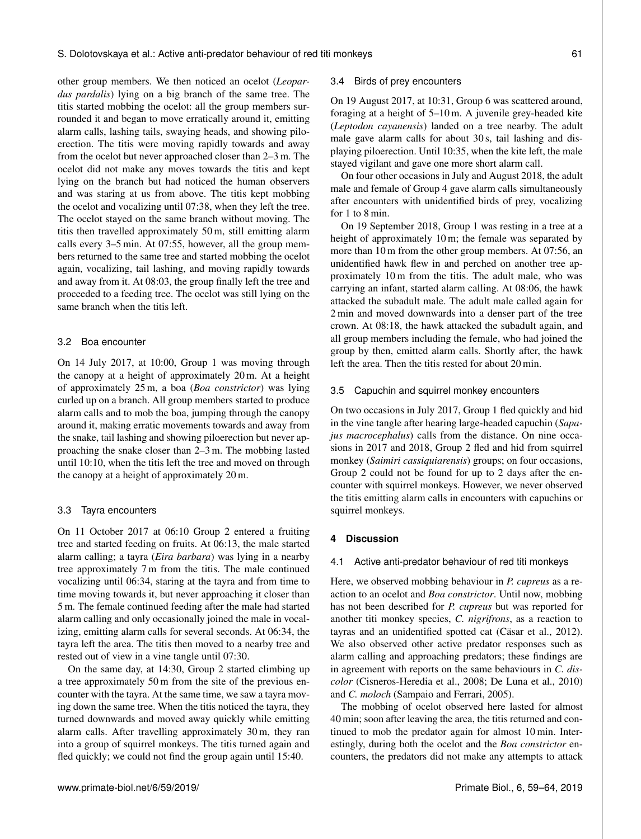other group members. We then noticed an ocelot (*Leopardus pardalis*) lying on a big branch of the same tree. The titis started mobbing the ocelot: all the group members surrounded it and began to move erratically around it, emitting alarm calls, lashing tails, swaying heads, and showing piloerection. The titis were moving rapidly towards and away from the ocelot but never approached closer than 2–3 m. The ocelot did not make any moves towards the titis and kept lying on the branch but had noticed the human observers and was staring at us from above. The titis kept mobbing the ocelot and vocalizing until 07:38, when they left the tree. The ocelot stayed on the same branch without moving. The titis then travelled approximately 50 m, still emitting alarm calls every 3–5 min. At 07:55, however, all the group members returned to the same tree and started mobbing the ocelot again, vocalizing, tail lashing, and moving rapidly towards and away from it. At 08:03, the group finally left the tree and proceeded to a feeding tree. The ocelot was still lying on the same branch when the titis left.

# 3.2 Boa encounter

On 14 July 2017, at 10:00, Group 1 was moving through the canopy at a height of approximately 20 m. At a height of approximately 25 m, a boa (*Boa constrictor*) was lying curled up on a branch. All group members started to produce alarm calls and to mob the boa, jumping through the canopy around it, making erratic movements towards and away from the snake, tail lashing and showing piloerection but never approaching the snake closer than 2–3 m. The mobbing lasted until 10:10, when the titis left the tree and moved on through the canopy at a height of approximately 20 m.

#### 3.3 Tayra encounters

On 11 October 2017 at 06:10 Group 2 entered a fruiting tree and started feeding on fruits. At 06:13, the male started alarm calling; a tayra (*Eira barbara*) was lying in a nearby tree approximately 7 m from the titis. The male continued vocalizing until 06:34, staring at the tayra and from time to time moving towards it, but never approaching it closer than 5 m. The female continued feeding after the male had started alarm calling and only occasionally joined the male in vocalizing, emitting alarm calls for several seconds. At 06:34, the tayra left the area. The titis then moved to a nearby tree and rested out of view in a vine tangle until 07:30.

On the same day, at 14:30, Group 2 started climbing up a tree approximately 50 m from the site of the previous encounter with the tayra. At the same time, we saw a tayra moving down the same tree. When the titis noticed the tayra, they turned downwards and moved away quickly while emitting alarm calls. After travelling approximately 30 m, they ran into a group of squirrel monkeys. The titis turned again and fled quickly; we could not find the group again until 15:40.

#### 3.4 Birds of prey encounters

On 19 August 2017, at 10:31, Group 6 was scattered around, foraging at a height of 5–10 m. A juvenile grey-headed kite (*Leptodon cayanensis*) landed on a tree nearby. The adult male gave alarm calls for about 30 s, tail lashing and displaying piloerection. Until 10:35, when the kite left, the male stayed vigilant and gave one more short alarm call.

On four other occasions in July and August 2018, the adult male and female of Group 4 gave alarm calls simultaneously after encounters with unidentified birds of prey, vocalizing for 1 to 8 min.

On 19 September 2018, Group 1 was resting in a tree at a height of approximately 10 m; the female was separated by more than 10 m from the other group members. At 07:56, an unidentified hawk flew in and perched on another tree approximately 10 m from the titis. The adult male, who was carrying an infant, started alarm calling. At 08:06, the hawk attacked the subadult male. The adult male called again for 2 min and moved downwards into a denser part of the tree crown. At 08:18, the hawk attacked the subadult again, and all group members including the female, who had joined the group by then, emitted alarm calls. Shortly after, the hawk left the area. Then the titis rested for about 20 min.

#### 3.5 Capuchin and squirrel monkey encounters

On two occasions in July 2017, Group 1 fled quickly and hid in the vine tangle after hearing large-headed capuchin (*Sapajus macrocephalus*) calls from the distance. On nine occasions in 2017 and 2018, Group 2 fled and hid from squirrel monkey (*Saimiri cassiquiarensis*) groups; on four occasions, Group 2 could not be found for up to 2 days after the encounter with squirrel monkeys. However, we never observed the titis emitting alarm calls in encounters with capuchins or squirrel monkeys.

# **4 Discussion**

#### 4.1 Active anti-predator behaviour of red titi monkeys

Here, we observed mobbing behaviour in *P. cupreus* as a reaction to an ocelot and *Boa constrictor*. Until now, mobbing has not been described for *P. cupreus* but was reported for another titi monkey species, *C. nigrifrons*, as a reaction to tayras and an unidentified spotted cat (Cäsar et al., 2012). We also observed other active predator responses such as alarm calling and approaching predators; these findings are in agreement with reports on the same behaviours in *C. discolor* (Cisneros-Heredia et al., 2008; De Luna et al., 2010) and *C. moloch* (Sampaio and Ferrari, 2005).

The mobbing of ocelot observed here lasted for almost 40 min; soon after leaving the area, the titis returned and continued to mob the predator again for almost 10 min. Interestingly, during both the ocelot and the *Boa constrictor* encounters, the predators did not make any attempts to attack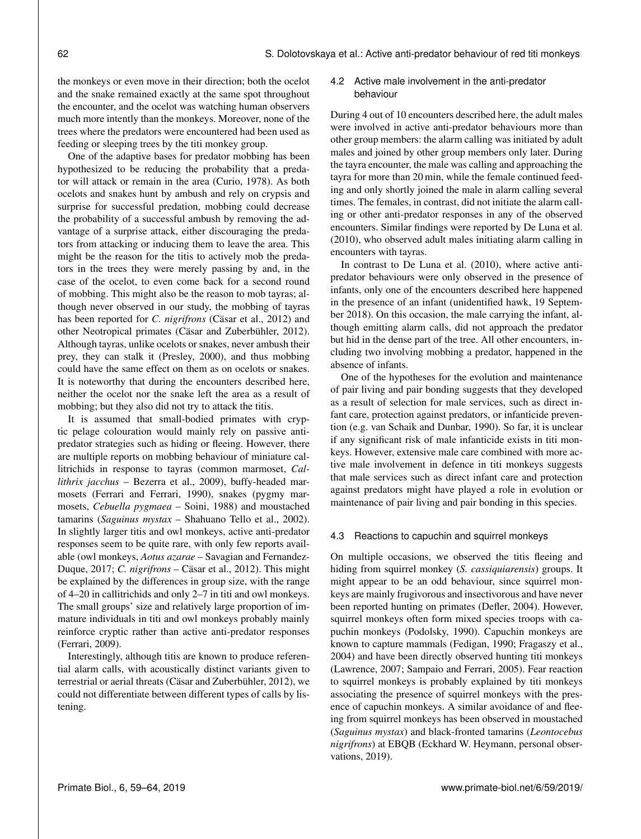the monkeys or even move in their direction; both the ocelot and the snake remained exactly at the same spot throughout the encounter, and the ocelot was watching human observers much more intently than the monkeys. Moreover, none of the trees where the predators were encountered had been used as feeding or sleeping trees by the titi monkey group.

One of the adaptive bases for predator mobbing has been hypothesized to be reducing the probability that a predator will attack or remain in the area (Curio, 1978). As both ocelots and snakes hunt by ambush and rely on crypsis and surprise for successful predation, mobbing could decrease the probability of a successful ambush by removing the advantage of a surprise attack, either discouraging the predators from attacking or inducing them to leave the area. This might be the reason for the titis to actively mob the predators in the trees they were merely passing by and, in the case of the ocelot, to even come back for a second round of mobbing. This might also be the reason to mob tayras; although never observed in our study, the mobbing of tayras has been reported for *C. nigrifrons* (Cäsar et al., 2012) and other Neotropical primates (Cäsar and Zuberbühler, 2012). Although tayras, unlike ocelots or snakes, never ambush their prey, they can stalk it (Presley, 2000), and thus mobbing could have the same effect on them as on ocelots or snakes. It is noteworthy that during the encounters described here, neither the ocelot nor the snake left the area as a result of mobbing; but they also did not try to attack the titis.

It is assumed that small-bodied primates with cryptic pelage colouration would mainly rely on passive antipredator strategies such as hiding or fleeing. However, there are multiple reports on mobbing behaviour of miniature callitrichids in response to tayras (common marmoset, *Callithrix jacchus* – Bezerra et al., 2009), buffy-headed marmosets (Ferrari and Ferrari, 1990), snakes (pygmy marmosets, *Cebuella pygmaea* – Soini, 1988) and moustached tamarins (*Saguinus mystax* – Shahuano Tello et al., 2002). In slightly larger titis and owl monkeys, active anti-predator responses seem to be quite rare, with only few reports available (owl monkeys, *Aotus azarae* – Savagian and Fernandez-Duque, 2017; *C. nigrifrons* – Cäsar et al., 2012). This might be explained by the differences in group size, with the range of 4–20 in callitrichids and only 2–7 in titi and owl monkeys. The small groups' size and relatively large proportion of immature individuals in titi and owl monkeys probably mainly reinforce cryptic rather than active anti-predator responses (Ferrari, 2009).

Interestingly, although titis are known to produce referential alarm calls, with acoustically distinct variants given to terrestrial or aerial threats (Cäsar and Zuberbühler, 2012), we could not differentiate between different types of calls by listening.

# 4.2 Active male involvement in the anti-predator behaviour

During 4 out of 10 encounters described here, the adult males were involved in active anti-predator behaviours more than other group members: the alarm calling was initiated by adult males and joined by other group members only later. During the tayra encounter, the male was calling and approaching the tayra for more than 20 min, while the female continued feeding and only shortly joined the male in alarm calling several times. The females, in contrast, did not initiate the alarm calling or other anti-predator responses in any of the observed encounters. Similar findings were reported by De Luna et al. (2010), who observed adult males initiating alarm calling in encounters with tayras.

In contrast to De Luna et al. (2010), where active antipredator behaviours were only observed in the presence of infants, only one of the encounters described here happened in the presence of an infant (unidentified hawk, 19 September 2018). On this occasion, the male carrying the infant, although emitting alarm calls, did not approach the predator but hid in the dense part of the tree. All other encounters, including two involving mobbing a predator, happened in the absence of infants.

One of the hypotheses for the evolution and maintenance of pair living and pair bonding suggests that they developed as a result of selection for male services, such as direct infant care, protection against predators, or infanticide prevention (e.g. van Schaik and Dunbar, 1990). So far, it is unclear if any significant risk of male infanticide exists in titi monkeys. However, extensive male care combined with more active male involvement in defence in titi monkeys suggests that male services such as direct infant care and protection against predators might have played a role in evolution or maintenance of pair living and pair bonding in this species.

#### 4.3 Reactions to capuchin and squirrel monkeys

On multiple occasions, we observed the titis fleeing and hiding from squirrel monkey (*S. cassiquiarensis*) groups. It might appear to be an odd behaviour, since squirrel monkeys are mainly frugivorous and insectivorous and have never been reported hunting on primates (Defler, 2004). However, squirrel monkeys often form mixed species troops with capuchin monkeys (Podolsky, 1990). Capuchin monkeys are known to capture mammals (Fedigan, 1990; Fragaszy et al., 2004) and have been directly observed hunting titi monkeys (Lawrence, 2007; Sampaio and Ferrari, 2005). Fear reaction to squirrel monkeys is probably explained by titi monkeys associating the presence of squirrel monkeys with the presence of capuchin monkeys. A similar avoidance of and fleeing from squirrel monkeys has been observed in moustached (*Saguinus mystax*) and black-fronted tamarins (*Leontocebus nigrifrons*) at EBQB (Eckhard W. Heymann, personal observations, 2019).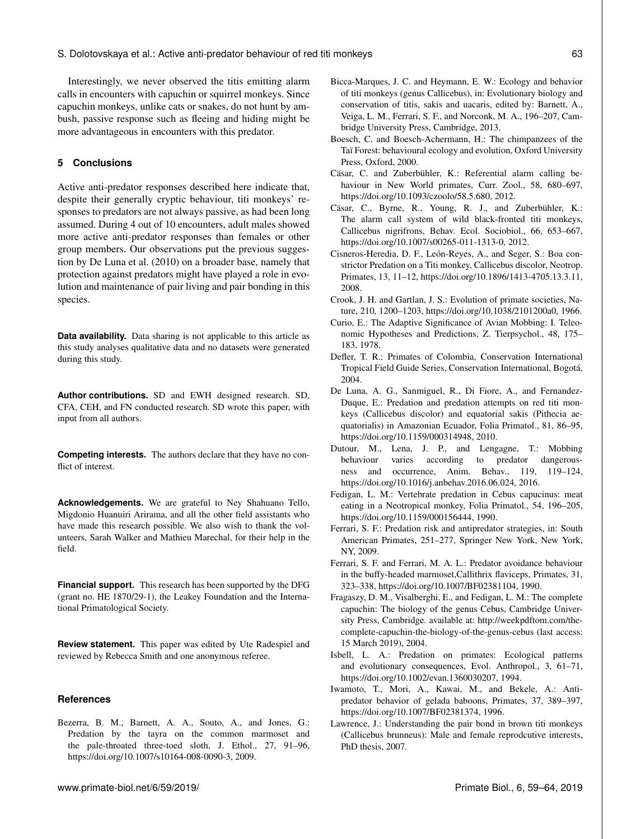Interestingly, we never observed the titis emitting alarm calls in encounters with capuchin or squirrel monkeys. Since capuchin monkeys, unlike cats or snakes, do not hunt by ambush, passive response such as fleeing and hiding might be more advantageous in encounters with this predator.

# **5 Conclusions**

Active anti-predator responses described here indicate that, despite their generally cryptic behaviour, titi monkeys' responses to predators are not always passive, as had been long assumed. During 4 out of 10 encounters, adult males showed more active anti-predator responses than females or other group members. Our observations put the previous suggestion by De Luna et al. (2010) on a broader base, namely that protection against predators might have played a role in evolution and maintenance of pair living and pair bonding in this species.

**Data availability.** Data sharing is not applicable to this article as this study analyses qualitative data and no datasets were generated during this study.

**Author contributions.** SD and EWH designed research. SD, CFA, CEH, and FN conducted research. SD wrote this paper, with input from all authors.

**Competing interests.** The authors declare that they have no conflict of interest.

**Acknowledgements.** We are grateful to Ney Shahuano Tello, Migdonio Huanuiri Arirama, and all the other field assistants who have made this research possible. We also wish to thank the volunteers, Sarah Walker and Mathieu Marechal, for their help in the field.

**Financial support.** This research has been supported by the DFG (grant no. HE 1870/29-1), the Leakey Foundation and the International Primatological Society.

**Review statement.** This paper was edited by Ute Radespiel and reviewed by Rebecca Smith and one anonymous referee.

#### **References**

Bezerra, B. M., Barnett, A. A., Souto, A., and Jones, G.: Predation by the tayra on the common marmoset and the pale-throated three-toed sloth, J. Ethol., 27, 91–96, https://doi.org[/10.1007/s10164-008-0090-3,](https://doi.org/10.1007/s10164-008-0090-3) 2009.

- Bicca-Marques, J. C. and Heymann, E. W.: Ecology and behavior of titi monkeys (genus Callicebus), in: Evolutionary biology and conservation of titis, sakis and uacaris, edited by: Barnett, A., Veiga, L. M., Ferrari, S. F., and Norconk, M. A., 196–207, Cambridge University Press, Cambridge, 2013.
- Boesch, C. and Boesch-Achermann, H.: The chimpanzees of the Taï Forest: behavioural ecology and evolution, Oxford University Press, Oxford, 2000.
- Cäsar, C. and Zuberbühler, K.: Referential alarm calling behaviour in New World primates, Curr. Zool., 58, 680–697, https://doi.org[/10.1093/czoolo/58.5.680,](https://doi.org/10.1093/czoolo/58.5.680) 2012.
- Cäsar, C., Byrne, R., Young, R. J., and Zuberbühler, K.: The alarm call system of wild black-fronted titi monkeys, Callicebus nigrifrons, Behav. Ecol. Sociobiol., 66, 653–667, https://doi.org[/10.1007/s00265-011-1313-0,](https://doi.org/10.1007/s00265-011-1313-0) 2012.
- Cisneros-Heredia, D. F., León-Reyes, A., and Seger, S.: Boa constrictor Predation on a Titi monkey, Callicebus discolor, Neotrop. Primates, 13, 11–12, https://doi.org[/10.1896/1413-4705.13.3.11,](https://doi.org/10.1896/1413-4705.13.3.11) 2008.
- Crook, J. H. and Gartlan, J. S.: Evolution of primate societies, Nature, 210, 1200–1203, https://doi.org[/10.1038/2101200a0,](https://doi.org/10.1038/2101200a0) 1966.
- Curio, E.: The Adaptive Significance of Avian Mobbing: I. Teleonomic Hypotheses and Predictions, Z. Tierpsychol., 48, 175– 183, 1978.
- Defler, T. R.: Primates of Colombia, Conservation International Tropical Field Guide Series, Conservation International, Bogotá, 2004.
- De Luna, A. G., Sanmiguel, R., Di Fiore, A., and Fernandez-Duque, E.: Predation and predation attempts on red titi monkeys (Callicebus discolor) and equatorial sakis (Pithecia aequatorialis) in Amazonian Ecuador, Folia Primatol., 81, 86–95, https://doi.org[/10.1159/000314948,](https://doi.org/10.1159/000314948) 2010.
- Dutour, M., Lena, J. P., and Lengagne, T.: Mobbing behaviour varies according to predator dangerousness and occurrence, Anim. Behav., 119, 119–124, https://doi.org[/10.1016/j.anbehav.2016.06.024,](https://doi.org/10.1016/j.anbehav.2016.06.024) 2016.
- Fedigan, L. M.: Vertebrate predation in Cebus capucinus: meat eating in a Neotropical monkey, Folia Primatol., 54, 196–205, https://doi.org[/10.1159/000156444,](https://doi.org/10.1159/000156444) 1990.
- Ferrari, S. F.: Predation risk and antipredator strategies, in: South American Primates, 251–277, Springer New York, New York, NY, 2009.
- Ferrari, S. F. and Ferrari, M. A. L.: Predator avoidance behaviour in the buffy-headed marmoset,Callithrix flaviceps, Primates, 31, 323–338, https://doi.org[/10.1007/BF02381104,](https://doi.org/10.1007/BF02381104) 1990.
- Fragaszy, D. M., Visalberghi, E., and Fedigan, L. M.: The complete capuchin: The biology of the genus Cebus, Cambridge University Press, Cambridge. available at: [http://weekpdftom.com/the](http://weekpdftom.com/the-complete-capuchin-the-biology-of-the-genus-cebus-linda-m-fedigan-read-without-limits-enjoy.pdf)[complete-capuchin-the-biology-of-the-genus-cebus](http://weekpdftom.com/the-complete-capuchin-the-biology-of-the-genus-cebus-linda-m-fedigan-read-without-limits-enjoy.pdf) (last access: 15 March 2019), 2004.
- Isbell, L. A.: Predation on primates: Ecological patterns and evolutionary consequences, Evol. Anthropol., 3, 61–71, https://doi.org[/10.1002/evan.1360030207,](https://doi.org/10.1002/evan.1360030207) 1994.
- Iwamoto, T., Mori, A., Kawai, M., and Bekele, A.: Antipredator behavior of gelada baboons, Primates, 37, 389–397, https://doi.org[/10.1007/BF02381374,](https://doi.org/10.1007/BF02381374) 1996.
- Lawrence, J.: Understanding the pair bond in brown titi monkeys (Callicebus brunneus): Male and female reprodcutive interests, PhD thesis, 2007.